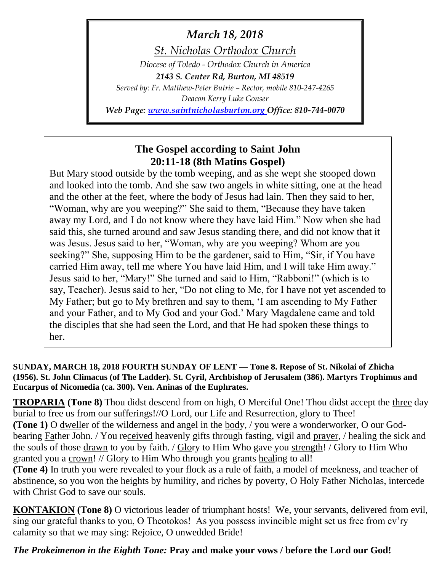# *March 18, 2018*

*St. Nicholas Orthodox Church*

*Diocese of Toledo - Orthodox Church in America 2143 S. Center Rd, Burton, MI 48519 Served by: Fr. Matthew-Peter Butrie – Rector, mobile 810-247-4265 Deacon Kerry Luke Gonser*

*Web Page: [www.saintnicholasburton.org](http://www.saintnicholasburton.org/) Office: 810-744-0070*

## **The Gospel according to Saint John 20:11-18 (8th Matins Gospel)**

But Mary stood outside by the tomb weeping, and as she wept she stooped down and looked into the tomb. And she saw two angels in white sitting, one at the head and the other at the feet, where the body of Jesus had lain. Then they said to her, "Woman, why are you weeping?" She said to them, "Because they have taken away my Lord, and I do not know where they have laid Him." Now when she had said this, she turned around and saw Jesus standing there, and did not know that it was Jesus. Jesus said to her, "Woman, why are you weeping? Whom are you seeking?" She, supposing Him to be the gardener, said to Him, "Sir, if You have carried Him away, tell me where You have laid Him, and I will take Him away." Jesus said to her, "Mary!" She turned and said to Him, "Rabboni!" (which is to say, Teacher). Jesus said to her, "Do not cling to Me, for I have not yet ascended to My Father; but go to My brethren and say to them, 'I am ascending to My Father and your Father, and to My God and your God.' Mary Magdalene came and told the disciples that she had seen the Lord, and that He had spoken these things to her.

**SUNDAY, MARCH 18, 2018 FOURTH SUNDAY OF LENT — Tone 8. Repose of St. Nikolai of Zhicha (1956). St. John Climacus (of The Ladder). St. Cyril, Archbishop of Jerusalem (386). Martyrs Trophimus and Eucarpus of Nicomedia (ca. 300). Ven. Aninas of the Euphrates.**

**TROPARIA (Tone 8)** Thou didst descend from on high, O Merciful One! Thou didst accept the three day burial to free us from our sufferings!//O Lord, our Life and Resurrection, glory to Thee! **(Tone 1)** O dweller of the wilderness and angel in the body, / you were a wonderworker, O our Godbearing Father John. / You received heavenly gifts through fasting, vigil and prayer, / healing the sick and the souls of those drawn to you by faith. / Glory to Him Who gave you strength! / Glory to Him Who granted you a crown! // Glory to Him Who through you grants healing to all!

**(Tone 4)** In truth you were revealed to your flock as a rule of faith, a model of meekness, and teacher of abstinence, so you won the heights by humility, and riches by poverty, O Holy Father Nicholas, intercede with Christ God to save our souls.

**KONTAKION (Tone 8)** O victorious leader of triumphant hosts! We, your servants, delivered from evil, sing our grateful thanks to you, O Theotokos! As you possess invincible might set us free from ev'ry calamity so that we may sing: Rejoice, O unwedded Bride!

### *The Prokeimenon in the Eighth Tone:* **Pray and make your vows / before the Lord our God!**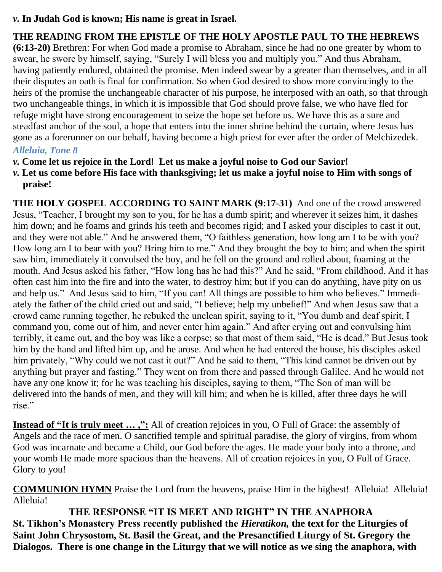## *v.* **In Judah God is known; His name is great in Israel.**

## **THE READING FROM THE EPISTLE OF THE HOLY APOSTLE PAUL TO THE HEBREWS**

**(6:13-20)** Brethren: For when God made a promise to Abraham, since he had no one greater by whom to swear, he swore by himself, saying, "Surely I will bless you and multiply you." And thus Abraham, having patiently endured, obtained the promise. Men indeed swear by a greater than themselves, and in all their disputes an oath is final for confirmation. So when God desired to show more convincingly to the heirs of the promise the unchangeable character of his purpose, he interposed with an oath, so that through two unchangeable things, in which it is impossible that God should prove false, we who have fled for refuge might have strong encouragement to seize the hope set before us. We have this as a sure and steadfast anchor of the soul, a hope that enters into the inner shrine behind the curtain, where Jesus has gone as a forerunner on our behalf, having become a high priest for ever after the order of Melchizedek.

## *Alleluia, Tone 8*

- *v.* **Come let us rejoice in the Lord! Let us make a joyful noise to God our Savior!**
- *v.* **Let us come before His face with thanksgiving; let us make a joyful noise to Him with songs of praise!**

**THE HOLY GOSPEL ACCORDING TO SAINT MARK (9:17-31)** And one of the crowd answered Jesus, "Teacher, I brought my son to you, for he has a dumb spirit; and wherever it seizes him, it dashes him down; and he foams and grinds his teeth and becomes rigid; and I asked your disciples to cast it out, and they were not able." And he answered them, "O faithless generation, how long am I to be with you? How long am I to bear with you? Bring him to me." And they brought the boy to him; and when the spirit saw him, immediately it convulsed the boy, and he fell on the ground and rolled about, foaming at the mouth. And Jesus asked his father, "How long has he had this?" And he said, "From childhood. And it has often cast him into the fire and into the water, to destroy him; but if you can do anything, have pity on us and help us." And Jesus said to him, "If you can! All things are possible to him who believes." Immediately the father of the child cried out and said, "I believe; help my unbelief!" And when Jesus saw that a crowd came running together, he rebuked the unclean spirit, saying to it, "You dumb and deaf spirit, I command you, come out of him, and never enter him again." And after crying out and convulsing him terribly, it came out, and the boy was like a corpse; so that most of them said, "He is dead." But Jesus took him by the hand and lifted him up, and he arose. And when he had entered the house, his disciples asked him privately, "Why could we not cast it out?" And he said to them, "This kind cannot be driven out by anything but prayer and fasting." They went on from there and passed through Galilee. And he would not have any one know it; for he was teaching his disciples, saying to them, "The Son of man will be delivered into the hands of men, and they will kill him; and when he is killed, after three days he will rise."

**Instead of "It is truly meet ...,":** All of creation rejoices in you, O Full of Grace: the assembly of Angels and the race of men. O sanctified temple and spiritual paradise, the glory of virgins, from whom God was incarnate and became a Child, our God before the ages. He made your body into a throne, and your womb He made more spacious than the heavens. All of creation rejoices in you, O Full of Grace. Glory to you!

**COMMUNION HYMN** Praise the Lord from the heavens, praise Him in the highest! Alleluia! Alleluia! Alleluia!

**THE RESPONSE "IT IS MEET AND RIGHT" IN THE ANAPHORA St. Tikhon's Monastery Press recently published the** *Hieratikon,* **the text for the Liturgies of Saint John Chrysostom, St. Basil the Great, and the Presanctified Liturgy of St. Gregory the Dialogos. There is one change in the Liturgy that we will notice as we sing the anaphora, with**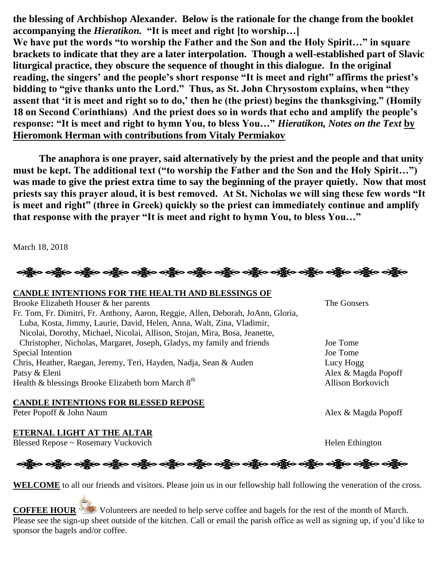**the blessing of Archbishop Alexander. Below is the rationale for the change from the booklet accompanying the** *Hieratikon.* **"It is meet and right [to worship…] We have put the words "to worship the Father and the Son and the Holy Spirit…" in square brackets to indicate that they are a later interpolation. Though a well-established part of Slavic liturgical practice, they obscure the sequence of thought in this dialogue. In the original reading, the singers' and the people's short response "It is meet and right" affirms the priest's bidding to "give thanks unto the Lord." Thus, as St. John Chrysostom explains, when "they assent that 'it is meet and right so to do,' then he (the priest) begins the thanksgiving." (Homily 18 on Second Corinthians) And the priest does so in words that echo and amplify the people's response: "It is meet and right to hymn You, to bless You…"** *Hieratikon, Notes on the Text* **by Hieromonk Herman with contributions from Vitaly Permiakov**

**The anaphora is one prayer, said alternatively by the priest and the people and that unity must be kept. The additional text ("to worship the Father and the Son and the Holy Spirit…") was made to give the priest extra time to say the beginning of the prayer quietly. Now that most priests say this prayer aloud, it is best removed. At St. Nicholas we will sing these few words "It is meet and right" (three in Greek) quickly so the priest can immediately continue and amplify that response with the prayer "It is meet and right to hymn You, to bless You…"**

March 18, 2018

ઓફ્રેન ઓફ્રેન ઓફ્રેન એફ્રેન ઓફ્રેન ઓફ્રેન ઓફ્રેન ઓફ્રેન એફ્રેન એફ્રેન એફ્રેન એફ્રેન એફ્રેન એફ્રેન

| <b>CANDLE INTENTIONS FOR THE HEALTH AND BLESSINGS OF</b>                         |                     |
|----------------------------------------------------------------------------------|---------------------|
| Brooke Elizabeth Houser & her parents                                            | The Gonsers         |
| Fr. Tom, Fr. Dimitri, Fr. Anthony, Aaron, Reggie, Allen, Deborah, JoAnn, Gloria, |                     |
| Luba, Kosta, Jimmy, Laurie, David, Helen, Anna, Walt, Zina, Vladimir,            |                     |
| Nicolai, Dorothy, Michael, Nicolai, Allison, Stojan, Mira, Bosa, Jeanette,       |                     |
| Christopher, Nicholas, Margaret, Joseph, Gladys, my family and friends           | Joe Tome            |
| Special Intention                                                                | Joe Tome            |
| Chris, Heather, Raegan, Jeremy, Teri, Hayden, Nadja, Sean & Auden                | Lucy Hogg           |
| Patsy & Eleni                                                                    | Alex & Mag          |
| Health & blessings Brooke Elizabeth born March 8 <sup>th</sup>                   | <b>Allison Bork</b> |

**CANDLE INTENTIONS FOR BLESSED REPOSE**

Peter Popoff & John Naum Alex & Magda Popoff

#### **ETERNAL LIGHT AT THE ALTAR**

Blessed Repose ~ Rosemary Vuckovich Helen Ethington



**WELCOME** to all our friends and visitors. Please join us in our fellowship hall following the veneration of the cross.

**COFFEE HOUR** Volunteers are needed to help serve coffee and bagels for the rest of the month of March. Please see the sign-up sheet outside of the kitchen. Call or email the parish office as well as signing up, if you'd like to sponsor the bagels and/or coffee.

Lucy Hogg Alex & Magda Popoff Allison Borkovich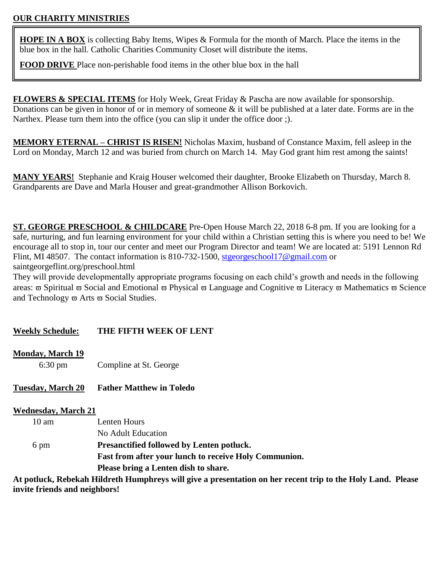#### **OUR CHARITY MINISTRIES**

**HOPE IN A BOX** is collecting Baby Items, Wipes & Formula for the month of March. Place the items in the blue box in the hall. Catholic Charities Community Closet will distribute the items.

**FOOD DRIVE** Place non-perishable food items in the other blue box in the hall

**FLOWERS & SPECIAL ITEMS** for Holy Week, Great Friday & Pascha are now available for sponsorship. Donations can be given in honor of or in memory of someone  $\&$  it will be published at a later date. Forms are in the Narthex. Please turn them into the office (you can slip it under the office door ;).

**MEMORY ETERNAL – CHRIST IS RISEN!** Nicholas Maxim, husband of Constance Maxim, fell asleep in the Lord on Monday, March 12 and was buried from church on March 14. May God grant him rest among the saints!

**MANY YEARS!** Stephanie and Kraig Houser welcomed their daughter, Brooke Elizabeth on Thursday, March 8. Grandparents are Dave and Marla Houser and great-grandmother Allison Borkovich.

**ST. GEORGE PRESCHOOL & CHILDCARE** Pre-Open House March 22, 2018 6-8 pm. If you are looking for a safe, nurturing, and fun learning environment for your child within a Christian setting this is where you need to be! We encourage all to stop in, tour our center and meet our Program Director and team! We are located at: 5191 Lennon Rd Flint, MI 48507. The contact information is 810-732-1500, [stgeorgeschool17@gmail.com](mailto:stgeorgeschool17@gmail.com) or saintgeorgeflint.org/preschool.html

They will provide developmentally appropriate programs focusing on each child's growth and needs in the following areas:  $\varpi$  Spiritual  $\varpi$  Social and Emotional  $\varpi$  Physical  $\varpi$  Language and Cognitive  $\varpi$  Literacy  $\varpi$  Mathematics  $\varpi$  Science and Technology  $\varpi$  Arts  $\varpi$  Social Studies.

#### **Weekly Schedule: THE FIFTH WEEK OF LENT**

#### **Monday, March 19**

| Compline at St. George<br>$6:30 \text{ pm}$ |
|---------------------------------------------|
|---------------------------------------------|

**Tuesday, March 20 Father Matthew in Toledo**

#### **Wednesday, March 21**

| $10 \text{ am}$ | Lenten Hours                                                 |
|-----------------|--------------------------------------------------------------|
|                 | No Adult Education                                           |
| 6 pm            | <b>Presanctified followed by Lenten potluck.</b>             |
|                 | <b>Fast from after your lunch to receive Holy Communion.</b> |
|                 | Please bring a Lenten dish to share.                         |

**At potluck, Rebekah Hildreth Humphreys will give a presentation on her recent trip to the Holy Land. Please invite friends and neighbors!**